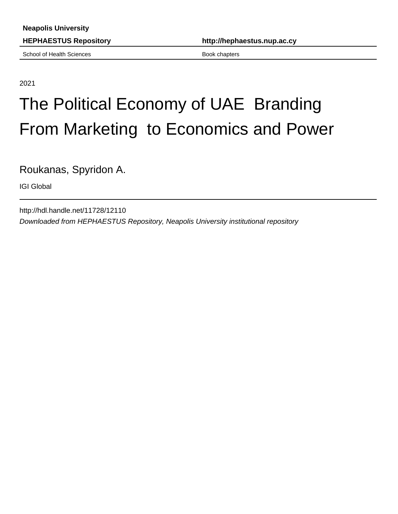School of Health Sciences **Book chapters** Book chapters

**HEPHAESTUS Repository http://hephaestus.nup.ac.cy**

2021

# The Political Economy of UAE Branding From Marketing to Economics and Power

Roukanas, Spyridon A.

IGI Global

http://hdl.handle.net/11728/12110 Downloaded from HEPHAESTUS Repository, Neapolis University institutional repository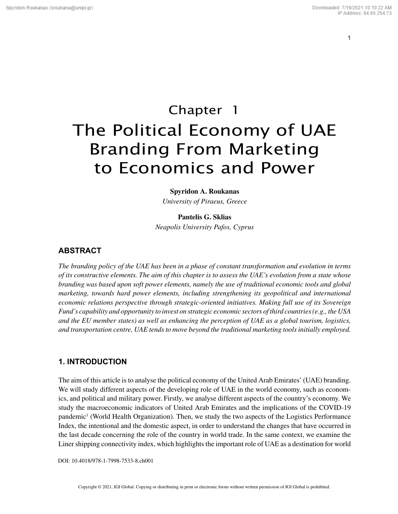**Spyridon A. Roukanas** *University of Piraeus, Greece*

**Pantelis G. Sklias**

*Neapolis University Pafos, Cyprus*

## **ABSTRACT**

*The branding policy of the UAE has been in a phase of constant transformation and evolution in terms of its constructive elements. The aim of this chapter is to assess the UAE's evolution from a state whose branding was based upon soft power elements, namely the use of traditional economic tools and global marketing, towards hard power elements, including strengthening its geopolitical and international economic relations perspective through strategic-oriented initiatives. Making full use of its Sovereign Fund's capability and opportunity to invest on strategic economic sectors of third countries (e.g., the USA and the EU member states) as well as enhancing the perception of UAE as a global tourism, logistics, and transportation centre, UAE tends to move beyond the traditional marketing tools initially employed.*

## **1. INTRODUCTION**

The aim of this article is to analyse the political economy of the United Arab Emirates' (UAE) branding. We will study different aspects of the developing role of UAE in the world economy, such as economics, and political and military power. Firstly, we analyse different aspects of the country's economy. We study the macroeconomic indicators of United Arab Emirates and the implications of the COVID-19 pandemic<sup>1</sup> (World Health Organization). Then, we study the two aspects of the Logistics Performance Index, the intentional and the domestic aspect, in order to understand the changes that have occurred in the last decade concerning the role of the country in world trade. In the same context, we examine the Liner shipping connectivity index, which highlights the important role of UAE as a destination for world

DOI: 10.4018/978-1-7998-7533-8.ch001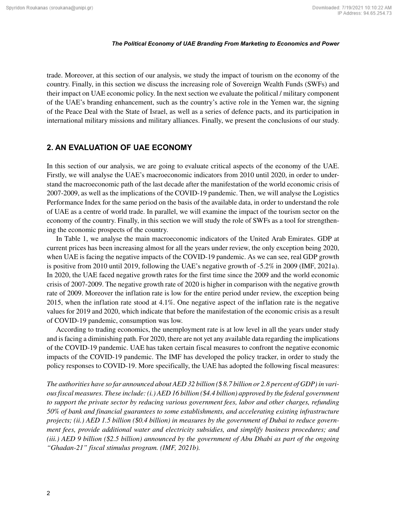trade. Moreover, at this section of our analysis, we study the impact of tourism on the economy of the country. Finally, in this section we discuss the increasing role of Sovereign Wealth Funds (SWFs) and their impact on UAE economic policy. In the next section we evaluate the political / military component of the UAE's branding enhancement, such as the country's active role in the Yemen war, the signing of the Peace Deal with the State of Israel, as well as a series of defence pacts, and its participation in international military missions and military alliances. Finally, we present the conclusions of our study.

## **2. AN EVALUATION OF UAE ECONOMY**

In this section of our analysis, we are going to evaluate critical aspects of the economy of the UAE. Firstly, we will analyse the UAE's macroeconomic indicators from 2010 until 2020, in order to understand the macroeconomic path of the last decade after the manifestation of the world economic crisis of 2007-2009, as well as the implications of the COVID-19 pandemic. Then, we will analyse the Logistics Performance Index for the same period on the basis of the available data, in order to understand the role of UAE as a centre of world trade. In parallel, we will examine the impact of the tourism sector on the economy of the country. Finally, in this section we will study the role of SWFs as a tool for strengthening the economic prospects of the country.

In Table 1, we analyse the main macroeconomic indicators of the United Arab Emirates. GDP at current prices has been increasing almost for all the years under review, the only exception being 2020, when UAE is facing the negative impacts of the COVID-19 pandemic. As we can see, real GDP growth is positive from 2010 until 2019, following the UAE's negative growth of -5.2% in 2009 (IMF, 2021a). In 2020, the UAE faced negative growth rates for the first time since the 2009 and the world economic crisis of 2007-2009. The negative growth rate of 2020 is higher in comparison with the negative growth rate of 2009. Moreover the inflation rate is low for the entire period under review, the exception being 2015, when the inflation rate stood at 4.1%. One negative aspect of the inflation rate is the negative values for 2019 and 2020, which indicate that before the manifestation of the economic crisis as a result of COVID-19 pandemic, consumption was low.

According to trading economics, the unemployment rate is at low level in all the years under study and is facing a diminishing path. For 2020, there are not yet any available data regarding the implications of the COVID-19 pandemic. UAE has taken certain fiscal measures to confront the negative economic impacts of the COVID-19 pandemic. The IMF has developed the policy tracker, in order to study the policy responses to COVID-19. More specifically, the UAE has adopted the following fiscal measures:

*The authorities have so far announced about AED 32 billion (\$ 8.7 billion or 2.8 percent of GDP) in various fiscal measures. These include: (i.) AED 16 billion (\$4.4 billion) approved by the federal government to support the private sector by reducing various government fees, labor and other charges, refunding 50% of bank and financial guarantees to some establishments, and accelerating existing infrastructure projects; (ii.) AED 1.5 billion (\$0.4 billion) in measures by the government of Dubai to reduce government fees, provide additional water and electricity subsidies, and simplify business procedures; and (iii.) AED 9 billion (\$2.5 billion) announced by the government of Abu Dhabi as part of the ongoing "Ghadan-21" fiscal stimulus program. (IMF, 2021b).*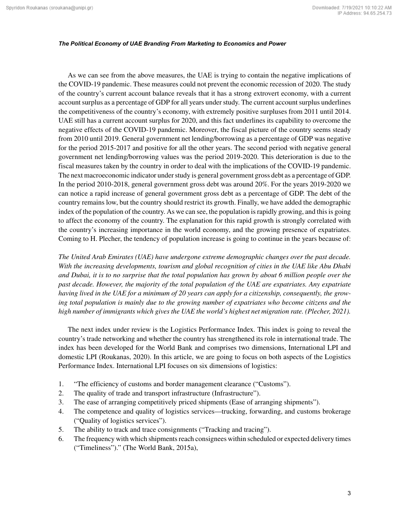As we can see from the above measures, the UAE is trying to contain the negative implications of the COVID-19 pandemic. These measures could not prevent the economic recession of 2020. The study of the country's current account balance reveals that it has a strong extrovert economy, with a current account surplus as a percentage of GDP for all years under study. The current account surplus underlines the competitiveness of the country's economy, with extremely positive surpluses from 2011 until 2014. UAE still has a current account surplus for 2020, and this fact underlines its capability to overcome the negative effects of the COVID-19 pandemic. Moreover, the fiscal picture of the country seems steady from 2010 until 2019. General government net lending/borrowing as a percentage of GDP was negative for the period 2015-2017 and positive for all the other years. The second period with negative general government net lending/borrowing values was the period 2019-2020. This deterioration is due to the fiscal measures taken by the country in order to deal with the implications of the COVID-19 pandemic. The next macroeconomic indicator under study is general government gross debt as a percentage of GDP. In the period 2010-2018, general government gross debt was around 20%. For the years 2019-2020 we can notice a rapid increase of general government gross debt as a percentage of GDP. The debt of the country remains low, but the country should restrict its growth. Finally, we have added the demographic index of the population of the country. As we can see, the population is rapidly growing, and this is going to affect the economy of the country. The explanation for this rapid growth is strongly correlated with the country's increasing importance in the world economy, and the growing presence of expatriates. Coming to H. Plecher, the tendency of population increase is going to continue in the years because of:

*The United Arab Emirates (UAE) have undergone extreme demographic changes over the past decade. With the increasing developments, tourism and global recognition of cities in the UAE like Abu Dhabi and Dubai, it is to no surprise that the total population has grown by about 6 million people over the past decade. However, the majority of the total population of the UAE are expatriates. Any expatriate having lived in the UAE for a minimum of 20 years can apply for a citizenship, consequently, the growing total population is mainly due to the growing number of expatriates who become citizens and the high number of immigrants which gives the UAE the world's highest net migration rate. (Plecher, 2021).*

The next index under review is the Logistics Performance Index. This index is going to reveal the country's trade networking and whether the country has strengthened its role in international trade. The index has been developed for the World Bank and comprises two dimensions, International LPI and domestic LPI (Roukanas, 2020). In this article, we are going to focus on both aspects of the Logistics Performance Index. International LPI focuses on six dimensions of logistics:

- 1. "The efficiency of customs and border management clearance ("Customs").
- 2. The quality of trade and transport infrastructure (Infrastructure").
- 3. The ease of arranging competitively priced shipments (Ease of arranging shipments").
- 4. The competence and quality of logistics services—trucking, forwarding, and customs brokerage ("Quality of logistics services").
- 5. The ability to track and trace consignments ("Tracking and tracing").
- 6. The frequency with which shipments reach consignees within scheduled or expected delivery times ("Timeliness")." (The World Bank, 2015a),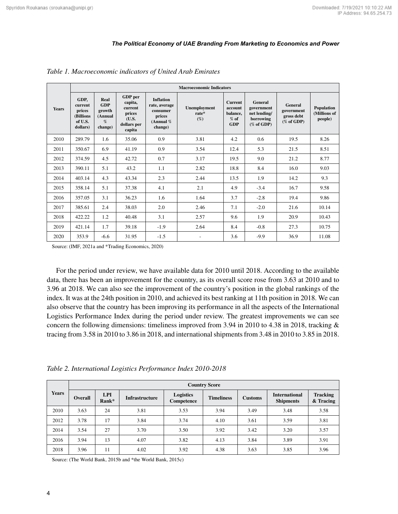|              |                                                               | <b>Macroeconomic Indicators</b>                         |                                                                           |                                                                                   |                                   |                                                               |                                                                            |                                                      |                                       |  |  |
|--------------|---------------------------------------------------------------|---------------------------------------------------------|---------------------------------------------------------------------------|-----------------------------------------------------------------------------------|-----------------------------------|---------------------------------------------------------------|----------------------------------------------------------------------------|------------------------------------------------------|---------------------------------------|--|--|
| <b>Years</b> | GDP,<br>current<br>prices<br>(Billions<br>of U.S.<br>dollars) | Real<br><b>GDP</b><br>growth<br>(Annual<br>%<br>change) | GDP per<br>capita,<br>current<br>prices<br>(U.S.<br>dollars per<br>capita | <b>Inflation</b><br>rate, average<br>consumer<br>prices<br>(Annual $%$<br>change) | Unemployment<br>$rate*$<br>$(\%)$ | <b>Current</b><br>account<br>balance,<br>$%$ of<br><b>GDP</b> | <b>General</b><br>government<br>net lending/<br>borrowing<br>$(\%$ of GDP) | General<br>government<br>gross debt<br>$(\%$ of GDP) | Population<br>(Millions of<br>people) |  |  |
| 2010         | 289.79                                                        | 1.6                                                     | 35.06                                                                     | 0.9                                                                               | 3.81                              | 4.2                                                           | 0.6                                                                        | 19.5                                                 | 8.26                                  |  |  |
| 2011         | 350.67                                                        | 6.9                                                     | 41.19                                                                     | 0.9                                                                               | 3.54                              | 12.4                                                          | 5.3                                                                        | 21.5                                                 | 8.51                                  |  |  |
| 2012         | 374.59                                                        | 4.5                                                     | 42.72                                                                     | 0.7                                                                               | 3.17                              | 19.5                                                          | 9.0                                                                        | 21.2                                                 | 8.77                                  |  |  |
| 2013         | 390.11                                                        | 5.1                                                     | 43.2                                                                      | 1.1                                                                               | 2.82                              | 18.8                                                          | 8.4                                                                        | 16.0                                                 | 9.03                                  |  |  |
| 2014         | 403.14                                                        | 4.3                                                     | 43.34                                                                     | 2.3                                                                               | 2.44                              | 13.5                                                          | 1.9                                                                        | 14.2                                                 | 9.3                                   |  |  |
| 2015         | 358.14                                                        | 5.1                                                     | 37.38                                                                     | 4.1                                                                               | 2.1                               | 4.9                                                           | $-3.4$                                                                     | 16.7                                                 | 9.58                                  |  |  |
| 2016         | 357.05                                                        | 3.1                                                     | 36.23                                                                     | 1.6                                                                               | 1.64                              | 3.7                                                           | $-2.8$                                                                     | 19.4                                                 | 9.86                                  |  |  |
| 2017         | 385.61                                                        | 2.4                                                     | 38.03                                                                     | 2.0                                                                               | 2.46                              | 7.1                                                           | $-2.0$                                                                     | 21.6                                                 | 10.14                                 |  |  |
| 2018         | 422.22                                                        | 1.2                                                     | 40.48                                                                     | 3.1                                                                               | 2.57                              | 9.6                                                           | 1.9                                                                        | 20.9                                                 | 10.43                                 |  |  |
| 2019         | 421.14                                                        | 1.7                                                     | 39.18                                                                     | $-1.9$                                                                            | 2.64                              | 8.4                                                           | $-0.8$                                                                     | 27.3                                                 | 10.75                                 |  |  |
| 2020         | 353.9                                                         | $-6.6$                                                  | 31.95                                                                     | $-1.5$                                                                            |                                   | 3.6                                                           | $-9.9$                                                                     | 36.9                                                 | 11.08                                 |  |  |

*Table 1. Macroeconomic indicators of United Arab Emirates*

Source: (IMF, 2021a and \*Trading Economics, 2020)

For the period under review, we have available data for 2010 until 2018. According to the available data, there has been an improvement for the country, as its overall score rose from 3.63 at 2010 and to 3.96 at 2018. We can also see the improvement of the country's position in the global rankings of the index. It was at the 24th position in 2010, and achieved its best ranking at 11th position in 2018. We can also observe that the country has been improving its performance in all the aspects of the International Logistics Performance Index during the period under review. The greatest improvements we can see concern the following dimensions: timeliness improved from 3.94 in 2010 to 4.38 in 2018, tracking & tracing from 3.58 in 2010 to 3.86 in 2018, and international shipments from 3.48 in 2010 to 3.85 in 2018.

*Table 2. International Logistics Performance Index 2010-2018*

| <b>Years</b> | <b>Country Score</b> |                     |                       |                         |                   |                |                                          |                              |  |
|--------------|----------------------|---------------------|-----------------------|-------------------------|-------------------|----------------|------------------------------------------|------------------------------|--|
|              | <b>Overall</b>       | <b>LPI</b><br>Rank* | <b>Infrastructure</b> | Logistics<br>Competence | <b>Timeliness</b> | <b>Customs</b> | <b>International</b><br><b>Shipments</b> | <b>Tracking</b><br>& Tracing |  |
| 2010         | 3.63                 | 24                  | 3.81                  | 3.53                    | 3.94              | 3.49           | 3.48                                     | 3.58                         |  |
| 2012         | 3.78                 | 17                  | 3.84                  | 3.74                    | 4.10              | 3.61           | 3.59                                     | 3.81                         |  |
| 2014         | 3.54                 | 27                  | 3.70                  | 3.50                    | 3.92              | 3.42           | 3.20                                     | 3.57                         |  |
| 2016         | 3.94                 | 13                  | 4.07                  | 3.82                    | 4.13              | 3.84           | 3.89                                     | 3.91                         |  |
| 2018         | 3.96                 | 11                  | 4.02                  | 3.92                    | 4.38              | 3.63           | 3.85                                     | 3.96                         |  |

Source: (The World Bank, 2015b and \*the World Bank, 2015c)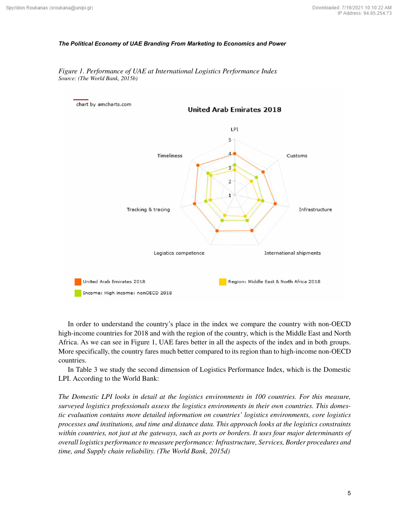

*Figure 1. Performance of UAE at International Logistics Performance Index Source: (The World Bank, 2015b)*

In order to understand the country's place in the index we compare the country with non-OECD high-income countries for 2018 and with the region of the country, which is the Middle East and North Africa. As we can see in Figure 1, UAE fares better in all the aspects of the index and in both groups. More specifically, the country fares much better compared to its region than to high-income non-OECD countries.

In Table 3 we study the second dimension of Logistics Performance Index, which is the Domestic LPI. According to the World Bank:

*The Domestic LPI looks in detail at the logistics environments in 100 countries. For this measure, surveyed logistics professionals assess the logistics environments in their own countries. This domestic evaluation contains more detailed information on countries' logistics environments, core logistics processes and institutions, and time and distance data. This approach looks at the logistics constraints within countries, not just at the gateways, such as ports or borders. It uses four major determinants of overall logistics performance to measure performance: Infrastructure, Services, Border procedures and time, and Supply chain reliability. (The World Bank, 2015d)*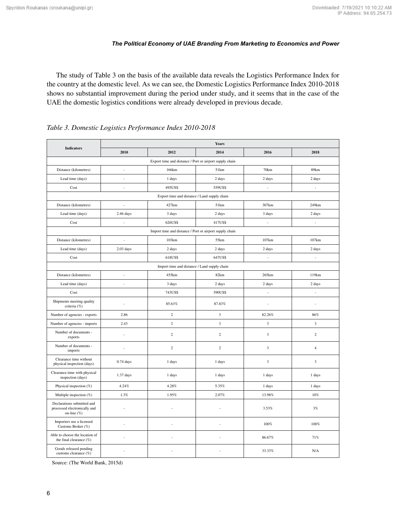The study of Table 3 on the basis of the available data reveals the Logistics Performance Index for the country at the domestic level. As we can see, the Domestic Logistics Performance Index 2010-2018 shows no substantial improvement during the period under study, and it seems that in the case of the UAE the domestic logistics conditions were already developed in previous decade.

| <b>Indicators</b>                                                         | <b>Years</b>                                 |                                                         |                         |                          |                          |  |  |  |
|---------------------------------------------------------------------------|----------------------------------------------|---------------------------------------------------------|-------------------------|--------------------------|--------------------------|--|--|--|
|                                                                           | 2010                                         | 2012                                                    | 2014                    | 2016                     | 2018                     |  |  |  |
| Export time and distance / Port or airport supply chain                   |                                              |                                                         |                         |                          |                          |  |  |  |
| Distance (kilometres)                                                     |                                              | 166km                                                   | 51km                    | 70km                     | 89km                     |  |  |  |
| Lead time (days)                                                          | ÷                                            | 1 days                                                  | 2 days                  | 2 days                   | 2 days                   |  |  |  |
| Cost                                                                      | ÷,                                           | 495US\$                                                 | 559US\$                 | ÷,                       | ÷,                       |  |  |  |
|                                                                           | Export time and distance / Land supply chain |                                                         |                         |                          |                          |  |  |  |
| Distance (kilometres)                                                     | ÷,                                           | 427km                                                   | 51km                    | 307km                    | 249km                    |  |  |  |
| Lead time (days)                                                          | $2.46$ days                                  | 3 days                                                  | 2 days                  | 3 days                   | 2 days                   |  |  |  |
| Cost                                                                      | ÷,                                           | 626US\$                                                 | 417US\$                 | $\overline{\phantom{a}}$ | $\overline{\phantom{a}}$ |  |  |  |
|                                                                           |                                              | Import time and distance / Port or airport supply chain |                         |                          |                          |  |  |  |
| Distance (kilometres)                                                     | $\overline{\phantom{a}}$                     | 103km                                                   | 55km                    | 107km                    | 107km                    |  |  |  |
| Lead time (days)                                                          | $2.03$ days                                  | 2 days                                                  | 2 days                  | 2 days                   | 2 days                   |  |  |  |
| Cost                                                                      |                                              | 618US\$                                                 | 647US\$                 | ÷,                       | $\overline{\phantom{a}}$ |  |  |  |
| Import time and distance / Land supply chain                              |                                              |                                                         |                         |                          |                          |  |  |  |
| Distance (kilometres)                                                     |                                              | 455km                                                   | 82km                    | 265km                    | 119km                    |  |  |  |
| Lead time (days)                                                          | ÷                                            | 3 days                                                  | 2 days                  | 2 days                   | 2 days                   |  |  |  |
| Cost                                                                      |                                              | 743US\$                                                 | 590US\$                 | $\overline{a}$           | ÷,                       |  |  |  |
| Shipments meeting quality<br>criteria (%)                                 | ÷,                                           | 85.63%                                                  | 87.83%                  | ÷,                       | $\overline{a}$           |  |  |  |
| Number of agencies - exports                                              | 2.86                                         | $\sqrt{2}$                                              | $\overline{\mathbf{3}}$ | 82.26%                   | 86%                      |  |  |  |
| Number of agencies - imports                                              | 2.43                                         | $\overline{2}$                                          | $\overline{\mathbf{3}}$ | $\overline{\mathbf{3}}$  | $\overline{\mathbf{3}}$  |  |  |  |
| Number of documents -<br>exports                                          | $\overline{a}$                               | $\overline{2}$                                          | $\sqrt{2}$              | $\mathfrak z$            | $\sqrt{2}$               |  |  |  |
| Number of documents -<br>imports                                          |                                              | $\overline{c}$                                          | $\overline{c}$          | $\overline{\mathbf{3}}$  | $\overline{4}$           |  |  |  |
| Clearance time without<br>physical inspection (days)                      | $0.74$ days                                  | 1 days                                                  | 1 days                  | $\overline{\mathbf{3}}$  | $\overline{\mathbf{3}}$  |  |  |  |
| Clearance time with physical<br>inspection (days)                         | 1.37 days                                    | 1 days                                                  | 1 days                  | 1 days                   | 1 days                   |  |  |  |
| Physical inspection (%)                                                   | 4.24%                                        | 4.28%                                                   | 5.35%                   | 1 days                   | 1 days                   |  |  |  |
| Multiple inspection (%)                                                   | 1.3%                                         | 1.95%                                                   | 2.07%                   | 13.98%                   | 10%                      |  |  |  |
| Declarations submitted and<br>processed electronically and<br>on-line (%) |                                              |                                                         |                         | 3.53%                    | 3%                       |  |  |  |
| Importers use a licensed<br>Customs Broker (%)                            |                                              |                                                         |                         | 100%                     | 100%                     |  |  |  |
| Able to choose the location of<br>the final clearance $(\%)$              |                                              |                                                         |                         | 86.67%                   | 71%                      |  |  |  |
| Goods released pending<br>customs clearance (%)                           |                                              |                                                         |                         | 33.33%                   | N/A                      |  |  |  |

*Table 3. Domestic Logistics Performance Index 2010-2018*

Source: (The World Bank, 2015d)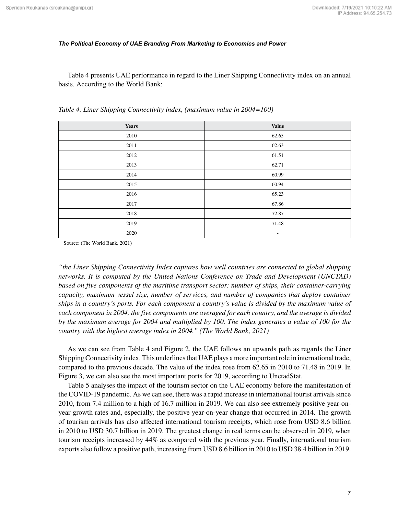Table 4 presents UAE performance in regard to the Liner Shipping Connectivity index on an annual basis. According to the World Bank:

| <b>Years</b> | <b>Value</b>             |
|--------------|--------------------------|
| 2010         | 62.65                    |
| 2011         | 62.63                    |
| 2012         | 61.51                    |
| 2013         | 62.71                    |
| 2014         | 60.99                    |
| 2015         | 60.94                    |
| 2016         | 65.23                    |
| 2017         | 67.86                    |
| 2018         | 72.87                    |
| 2019         | 71.48                    |
| 2020         | $\overline{\phantom{a}}$ |

*Table 4. Liner Shipping Connectivity index, (maximum value in 2004=100)*

Source: (The World Bank, 2021)

*"the Liner Shipping Connectivity Index captures how well countries are connected to global shipping networks. It is computed by the United Nations Conference on Trade and Development (UNCTAD) based on five components of the maritime transport sector: number of ships, their container-carrying capacity, maximum vessel size, number of services, and number of companies that deploy container ships in a country's ports. For each component a country's value is divided by the maximum value of each component in 2004, the five components are averaged for each country, and the average is divided by the maximum average for 2004 and multiplied by 100. The index generates a value of 100 for the country with the highest average index in 2004." (The World Bank, 2021)*

As we can see from Table 4 and Figure 2, the UAE follows an upwards path as regards the Liner Shipping Connectivity index. This underlines that UAE plays a more important role in international trade, compared to the previous decade. The value of the index rose from 62.65 in 2010 to 71.48 in 2019. In Figure 3, we can also see the most important ports for 2019, according to UnctadStat.

Table 5 analyses the impact of the tourism sector on the UAE economy before the manifestation of the COVID-19 pandemic. As we can see, there was a rapid increase in international tourist arrivals since 2010, from 7.4 million to a high of 16.7 million in 2019. We can also see extremely positive year-onyear growth rates and, especially, the positive year-on-year change that occurred in 2014. The growth of tourism arrivals has also affected international tourism receipts, which rose from USD 8.6 billion in 2010 to USD 30.7 billion in 2019. The greatest change in real terms can be observed in 2019, when tourism receipts increased by 44% as compared with the previous year. Finally, international tourism exports also follow a positive path, increasing from USD 8.6 billion in 2010 to USD 38.4 billion in 2019.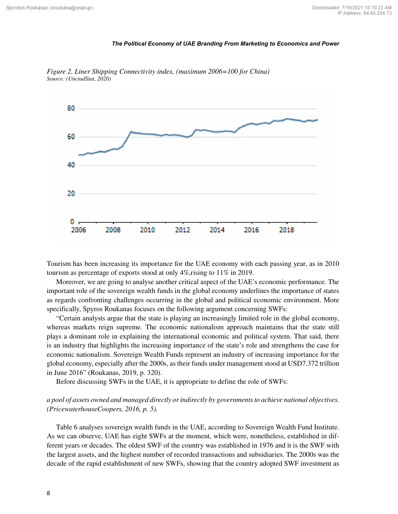

*Figure 2. Liner Shipping Connectivity index, (maximum 2006=100 for China) Source: (UnctadStat, 2020)*

Tourism has been increasing its importance for the UAE economy with each passing year, as in 2010 tourism as percentage of exports stood at only 4%,rising to 11% in 2019.

Moreover, we are going to analyse another critical aspect of the UAE's economic performance. The important role of the sovereign wealth funds in the global economy underlines the importance of states as regards confronting challenges occurring in the global and political economic environment. More specifically, Spyros Roukanas focuses on the following argument concerning SWFs:

"Certain analysts argue that the state is playing an increasingly limited role in the global economy, whereas markets reign supreme. The economic nationalism approach maintains that the state still plays a dominant role in explaining the international economic and political system. That said, there is an industry that highlights the increasing importance of the state's role and strengthens the case for economic nationalism. Sovereign Wealth Funds represent an industry of increasing importance for the global economy, especially after the 2000s, as their funds under management stood at USD7.372 trillion in June 2016" (Roukanas, 2019, p. 320).

Before discussing SWFs in the UAE, it is appropriate to define the role of SWFs:

## *a pool of assets owned and managed directly or indirectly by governments to achieve national objectives. (PricewaterhouseCoopers, 2016, p. 5).*

Table 6 analyses sovereign wealth funds in the UAE, according to Sovereign Wealth Fund Institute. As we can observe, UAE has eight SWFs at the moment, which were, nonetheless, established in different years or decades. The oldest SWF of the country was established in 1976 and it is the SWF with the largest assets, and the highest number of recorded transactions and subsidiaries. The 2000s was the decade of the rapid establishment of new SWFs, showing that the country adopted SWF investment as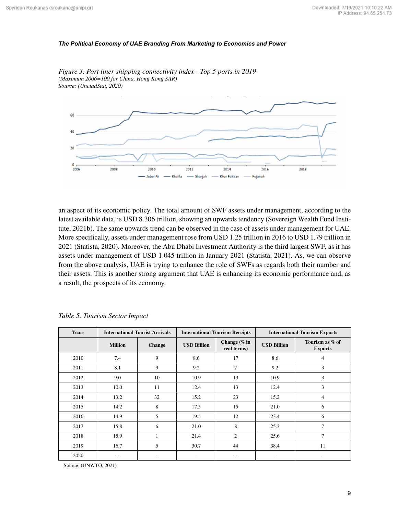

*Figure 3. Port liner shipping connectivity index - Top 5 ports in 2019 (Maximum 2006=100 for China, Hong Kong SAR) Source: (UnctadStat, 2020)*

an aspect of its economic policy. The total amount of SWF assets under management, according to the latest available data, is USD 8.306 trillion, showing an upwards tendency (Sovereign Wealth Fund Institute, 2021b). The same upwards trend can be observed in the case of assets under management for UAE. More specifically, assets under management rose from USD 1.25 trillion in 2016 to USD 1.79 trillion in 2021 (Statista, 2020). Moreover, the Abu Dhabi Investment Authority is the third largest SWF, as it has assets under management of USD 1.045 trillion in January 2021 (Statista, 2021). As, we can observe from the above analysis, UAE is trying to enhance the role of SWFs as regards both their number and their assets. This is another strong argument that UAE is enhancing its economic performance and, as a result, the prospects of its economy.

| <b>Years</b> | <b>International Tourist Arrivals</b> |               |                    | <b>International Tourism Receipts</b> | <b>International Tourism Exports</b> |                                   |
|--------------|---------------------------------------|---------------|--------------------|---------------------------------------|--------------------------------------|-----------------------------------|
|              | <b>Million</b>                        | <b>Change</b> | <b>USD Billion</b> | Change $(\%$ in<br>real terms)        | <b>USD Billion</b>                   | Tourism as % of<br><b>Exports</b> |
| 2010         | 7.4                                   | 9             | 8.6                | 17                                    | 8.6                                  | $\overline{4}$                    |
| 2011         | 8.1                                   | 9             | 9.2                | 7                                     | 9.2                                  | 3                                 |
| 2012         | 9.0                                   | 10            | 10.9               | 19                                    | 10.9                                 | 3                                 |
| 2013         | 10.0                                  | 11            | 12.4               | 13                                    | 12.4                                 | 3                                 |
| 2014         | 13.2                                  | 32            | 15.2               | 23                                    | 15.2                                 | $\overline{4}$                    |
| 2015         | 14.2                                  | 8             | 17.5               | 15                                    | 21.0                                 | 6                                 |
| 2016         | 14.9                                  | 5             | 19.5               | 12                                    | 23.4                                 | 6                                 |
| 2017         | 15.8                                  | 6             | 21.0               | 8                                     | 25.3                                 | $\overline{7}$                    |
| 2018         | 15.9                                  |               | 21.4               | $\overline{2}$                        | 25.6                                 | $\overline{7}$                    |
| 2019         | 16.7                                  | 5             | 30.7               | 44                                    | 38.4                                 | 11                                |
| 2020         |                                       |               |                    |                                       | ۰                                    |                                   |

*Table 5. Tourism Sector Impact*

Source: (UNWTO, 2021)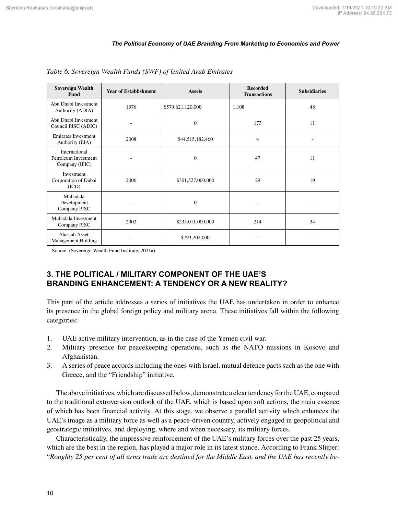| <b>Sovereign Wealth</b><br>Fund                                          | <b>Year of Establishment</b> | <b>Assets</b>     | <b>Recorded</b><br><b>Transactions</b> | <b>Subsidiaries</b> |
|--------------------------------------------------------------------------|------------------------------|-------------------|----------------------------------------|---------------------|
| Abu Dhabi Investment<br>1976<br>Authority (ADIA)                         |                              | \$579,621,120,000 | 1,108                                  | 48                  |
| Abu Dhabi Investment<br>Council PJSC (ADIC)                              |                              | $\overline{0}$    | 173                                    | 11                  |
| <b>Emirates Investment</b><br>Authority (EIA)                            | 2008                         | \$44,515,182,460  | 4                                      |                     |
| International<br>Petroleum Investment<br>Company (IPIC)                  |                              | $\overline{0}$    | 47                                     | 11                  |
| Investment<br>Corporation of Dubai<br>2006<br>\$301,527,000,000<br>(ICD) |                              |                   | 29                                     | 19                  |
| Mubadala<br>Development<br>Company PJSC                                  |                              | $\overline{0}$    |                                        |                     |
| Mubadala Investment<br>2002<br>Company PJSC                              |                              | \$235,011,000,000 | 214                                    | 34                  |
| Sharjah Asset<br><b>Management Holding</b>                               |                              | \$793,202,000     |                                        |                     |

*Table 6. Sovereign Wealth Funds (SWF) of United Arab Emirates*

Source: (Sovereign Wealth Fund Institute, 2021a)

## **3. THE POLITICAL / MILITARY COMPONENT OF THE UAE'S BRANDING ENHANCEMENT: A TENDENCY OR A NEW REALITY?**

This part of the article addresses a series of initiatives the UAE has undertaken in order to enhance its presence in the global foreign policy and military arena. These initiatives fall within the following categories:

- 1. UAE active military intervention, as in the case of the Yemen civil war.
- 2. Military presence for peacekeeping operations, such as the NATO missions in Kosovo and Afghanistan.
- 3. A series of peace accords including the ones with Israel, mutual defence pacts such as the one with Greece, and the "Friendship" initiative.

The above initiatives, which are discussed below, demonstrate a clear tendency for the UAE, compared to the traditional extroversion outlook of the UAE, which is based upon soft actions, the main essence of which has been financial activity. At this stage, we observe a parallel activity which enhances the UAE's image as a military force as well as a peace-driven country, actively engaged in geopolitical and geostrategic initiatives, and deploying, where and when necessary, its military forces.

Characteristically, the impressive reinforcement of the UAE's military forces over the past 25 years, which are the best in the region, has played a major role in its latest stance. According to Frank Slijper: "*Roughly 25 per cent of all arms trade are destined for the Middle East, and the UAE has recently be-*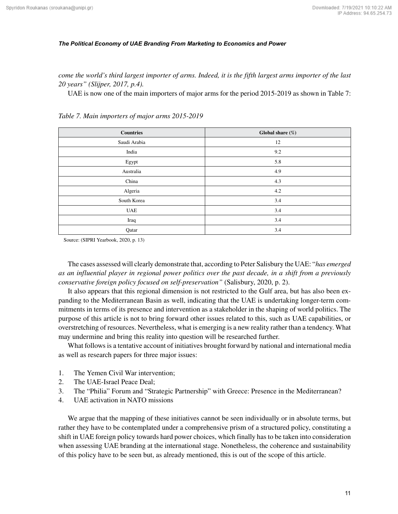*come the world's third largest importer of arms. Indeed, it is the fifth largest arms importer of the last 20 years" (Slijper, 2017, p.4).*

UAE is now one of the main importers of major arms for the period 2015-2019 as shown in Table 7:

| <b>Countries</b> | Global share (%) |
|------------------|------------------|
| Saudi Arabia     | 12               |
| India            | 9.2              |
| Egypt            | 5.8              |
| Australia        | 4.9              |
| China            | 4.3              |
| Algeria          | 4.2              |
| South Korea      | 3.4              |
| <b>UAE</b>       | 3.4              |
| Iraq             | 3.4              |
| Qatar            | 3.4              |

*Table 7. Main importers of major arms 2015-2019*

Source: (SIPRI Yearbook, 2020, p. 13)

The cases assessed will clearly demonstrate that, according to Peter Salisbury the UAE: "*has emerged as an influential player in regional power politics over the past decade, in a shift from a previously conservative foreign policy focused on self-preservation"* (Salisbury, 2020, p. 2).

It also appears that this regional dimension is not restricted to the Gulf area, but has also been expanding to the Mediterranean Basin as well, indicating that the UAE is undertaking longer-term commitments in terms of its presence and intervention as a stakeholder in the shaping of world politics. The purpose of this article is not to bring forward other issues related to this, such as UAE capabilities, or overstretching of resources. Nevertheless, what is emerging is a new reality rather than a tendency. What may undermine and bring this reality into question will be researched further.

What follows is a tentative account of initiatives brought forward by national and international media as well as research papers for three major issues:

- 1. The Yemen Civil War intervention;
- 2. The UAE-Israel Peace Deal;
- 3. The "Philia" Forum and "Strategic Partnership" with Greece: Presence in the Mediterranean?
- 4. UAE activation in NATO missions

We argue that the mapping of these initiatives cannot be seen individually or in absolute terms, but rather they have to be contemplated under a comprehensive prism of a structured policy, constituting a shift in UAE foreign policy towards hard power choices, which finally has to be taken into consideration when assessing UAE branding at the international stage. Nonetheless, the coherence and sustainability of this policy have to be seen but, as already mentioned, this is out of the scope of this article.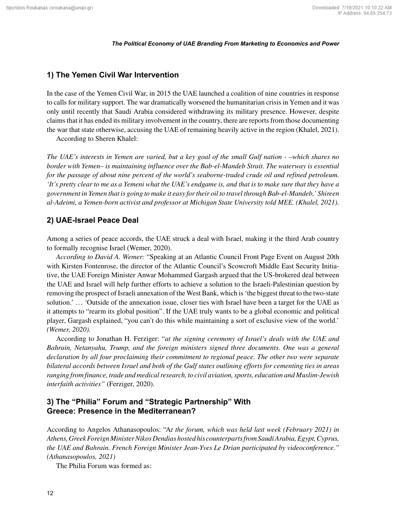## **1) The Yemen Civil War Intervention**

In the case of the Yemen Civil War, in 2015 the UAE launched a coalition of nine countries in response to calls for military support. The war dramatically worsened the humanitarian crisis in Yemen and it was only until recently that Saudi Arabia considered withdrawing its military presence. However, despite claims that it has ended its military involvement in the country, there are reports from those documenting the war that state otherwise, accusing the UAE of remaining heavily active in the region (Khalel, 2021).

According to Sheren Khalel:

*The UAE's interests in Yemen are varied, but a key goal of the small Gulf nation - –which shares no border with Yemen– is maintaining influence over the Bab-el-Mandeb Strait. The waterway is essential for the passage of about nine percent of the world's seaborne-traded crude oil and refined petroleum. 'It's pretty clear to me as a Yemeni what the UAE's endgame is, and that is to make sure that they have a government in Yemen that is going to make it easy for their oil to travel through Bab-el-Mandeb,' Shireen al-Adeimi, a Yemen-born activist and professor at Michigan State University told MEE. (Khalel, 2021).*

## **2) UAE-Israel Peace Deal**

Among a series of peace accords, the UAE struck a deal with Israel, making it the third Arab country to formally recognise Israel (Wemer, 2020).

*According to David A. Wemer:* "Speaking at an Atlantic Council Front Page Event on August 20th with Kirsten Fontenrose, the director of the Atlantic Council's Scowcroft Middle East Security Initiative, the UAE Foreign Minister Anwar Mohammed Gargash argued that the US-brokered deal between the UAE and Israel will help further efforts to achieve a solution to the Israeli-Palestinian question by removing the prospect of Israeli annexation of the West Bank, which is 'the biggest threat to the two-state solution.' … *'*Outside of the annexation issue, closer ties with Israel have been a target for the UAE as it attempts to "rearm its global position". If the UAE truly wants to be a global economic and political player, Gargash explained, "you can't do this while maintaining a sort of exclusive view of the world.' *(Wemer, 2020).*

According to Jonathan H. Ferziger: "*at the signing ceremony of Israel's deals with the UAE and Bahrain, Netanyahu, Trump, and the foreign ministers signed three documents. One was a general declaration by all four proclaiming their commitment to regional peace. The other two were separate bilateral accords between Israel and both of the Gulf states outlining efforts for cementing ties in areas ranging from finance, trade and medical research, to civil aviation, sports, education and Muslim-Jewish interfaith activities"* (Ferziger, 2020).

## **3) The "Philia" Forum and "Strategic Partnership" With Greece: Presence in the Mediterranean?**

According to Angelos Athanasopoulos: "A*t the forum, which was held last week (February 2021) in Athens, Greek Foreign Minister Nikos Dendias hosted his counterparts from Saudi Arabia, Egypt, Cyprus, the UAE and Bahrain. French Foreign Minister Jean-Yves Le Drian participated by videoconference." (Athanasopoulos, 2021)*

The Philia Forum was formed as: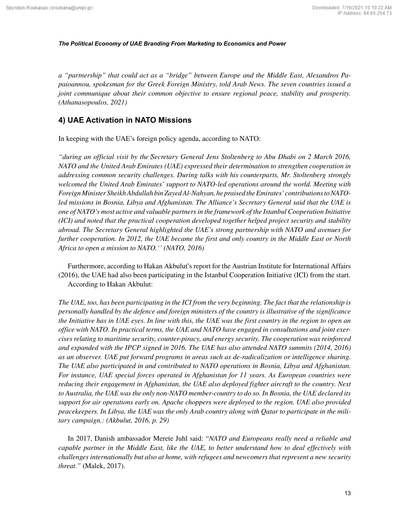*a "partnership" that could act as a "bridge" between Europe and the Middle East, Alexandros Papaioannou, spokesman for the Greek Foreign Ministry, told Arab News. The seven countries issued a joint communique about their common objective to ensure regional peace, stability and prosperity. (Athanasopoulos, 2021)*

## **4) UAE Activation in NATO Missions**

In keeping with the UAE's foreign policy agenda, according to NATO:

*"during an official visit by the Secretary General Jens Stoltenberg to Abu Dhabi on 2 March 2016, NATO and the United Arab Emirates (UAE) expressed their determination to strengthen cooperation in addressing common security challenges. During talks with his counterparts, Mr. Stoltenberg strongly welcomed the United Arab Emirates' support to NATO-led operations around the world. Meeting with Foreign Minister Sheikh Abdullah bin Zayed Al-Nahyan, he praised the Emirates' contributions to NATOled missions in Bosnia, Libya and Afghanistan. The Alliance's Secretary General said that the UAE is one of NATO's most active and valuable partners in the framework of the Istanbul Cooperation Initiative (ICI) and noted that the practical cooperation developed together helped project security and stability abroad. The Secretary General highlighted the UAE's strong partnership with NATO and avenues for further cooperation. In 2012, the UAE became the first and only country in the Middle East or North Africa to open a mission to NATO.'' (NATO, 2016)*

Furthermore, according to Hakan Akbulut's report for the Austrian Institute for International Affairs (2016), the UAE had also been participating in the Istanbul Cooperation Initiative (ICI) from the start. According to Hakan Akbulut:

*The UAE, too, has been participating in the ICI from the very beginning. The fact that the relationship is personally handled by the defence and foreign ministers of the country is illustrative of the significance the Initiative has in UAE eyes. In line with this, the UAE was the first country in the region to open an office with NATO. In practical terms, the UAE and NATO have engaged in consultations and joint exercises relating to maritime security, counter-piracy, and energy security. The cooperation was reinforced and expanded with the IPCP signed in 2016. The UAE has also attended NATO summits (2014, 2016) as an observer. UAE put forward programs in areas such as de-radicalization or intelligence sharing. The UAE also participated in and contributed to NATO operations in Bosnia, Libya and Afghanistan. For instance, UAE special forces operated in Afghanistan for 11 years. As European countries were reducing their engagement in Afghanistan, the UAE also deployed fighter aircraft to the country. Next to Australia, the UAE was the only non-NATO member-country to do so. In Bosnia, the UAE declared its support for air operations early on. Apache choppers were deployed to the region. UAE also provided peacekeepers. In Libya, the UAE was the only Arab country along with Qatar to participate in the military campaign.: (Akbulut, 2016, p. 29)*

In 2017, Danish ambassador Merete Juhl said: "*NATO and Europeans really need a reliable and capable partner in the Middle East, like the UAE, to better understand how to deal effectively with challenges internationally but also at home, with refugees and newcomers that represent a new security threat."* (Malek, 2017).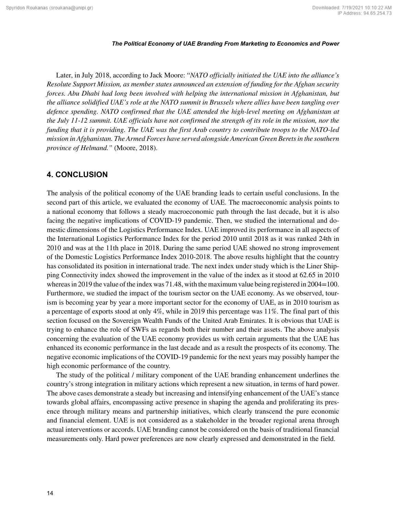Later, in July 2018, according to Jack Moore: "*NATO officially initiated the UAE into the alliance's Resolute Support Mission, as member states announced an extension of funding for the Afghan security forces. Abu Dhabi had long been involved with helping the international mission in Afghanistan, but the alliance solidified UAE's role at the NATO summit in Brussels where allies have been tangling over defence spending. NATO confirmed that the UAE attended the high-level meeting on Afghanistan at the July 11-12 summit. UAE officials have not confirmed the strength of its role in the mission, nor the funding that it is providing. The UAE was the first Arab country to contribute troops to the NATO-led mission in Afghanistan. The Armed Forces have served alongside American Green Berets in the southern province of Helmand."* (Moore, 2018).

## **4. CONCLUSION**

The analysis of the political economy of the UAE branding leads to certain useful conclusions. In the second part of this article, we evaluated the economy of UAE. The macroeconomic analysis points to a national economy that follows a steady macroeconomic path through the last decade, but it is also facing the negative implications of COVID-19 pandemic. Then, we studied the international and domestic dimensions of the Logistics Performance Index. UAE improved its performance in all aspects of the International Logistics Performance Index for the period 2010 until 2018 as it was ranked 24th in 2010 and was at the 11th place in 2018. During the same period UAE showed no strong improvement of the Domestic Logistics Performance Index 2010-2018. The above results highlight that the country has consolidated its position in international trade. The next index under study which is the Liner Shipping Connectivity index showed the improvement in the value of the index as it stood at 62.65 in 2010 whereas in 2019 the value of the index was 71.48, with the maximum value being registered in 2004=100. Furthermore, we studied the impact of the tourism sector on the UAE economy. As we observed, tourism is becoming year by year a more important sector for the economy of UAE, as in 2010 tourism as a percentage of exports stood at only 4%, while in 2019 this percentage was 11%. The final part of this section focused on the Sovereign Wealth Funds of the United Arab Emirates. It is obvious that UAE is trying to enhance the role of SWFs as regards both their number and their assets. The above analysis concerning the evaluation of the UAE economy provides us with certain arguments that the UAE has enhanced its economic performance in the last decade and as a result the prospects of its economy. The negative economic implications of the COVID-19 pandemic for the next years may possibly hamper the high economic performance of the country.

The study of the political / military component of the UAE branding enhancement underlines the country's strong integration in military actions which represent a new situation, in terms of hard power. The above cases demonstrate a steady but increasing and intensifying enhancement of the UAE's stance towards global affairs, encompassing active presence in shaping the agenda and proliferating its presence through military means and partnership initiatives, which clearly transcend the pure economic and financial element. UAE is not considered as a stakeholder in the broader regional arena through actual interventions or accords. UAE branding cannot be considered on the basis of traditional financial measurements only. Hard power preferences are now clearly expressed and demonstrated in the field.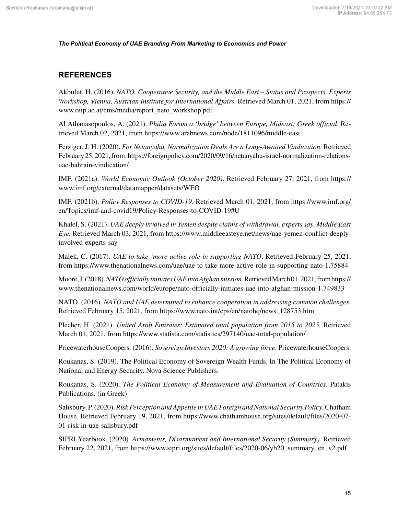## **REFERENCES**

Akbulut, H. (2016). *NATO, Cooperative Security, and the Middle East – Status and Prospects, Experts Workshop, Vienna, Austrian Institute for International Affairs.* Retrieved March 01, 2021, from [https://](https://www.oiip.ac.at/cms/media/report_nato_workshop.pdf) [www.oiip.ac.at/cms/media/report\\_nato\\_workshop.pdf](https://www.oiip.ac.at/cms/media/report_nato_workshop.pdf)

Al Athanasopoulos, A. (2021). *Philia Forum a 'bridge' between Europe, Mideast: Greek official*. Retrieved March 02, 2021, from<https://www.arabnews.com/node/1811096/middle-east>

Ferziger, J. H. (2020). *For Netanyahu, Normalization Deals Are a Long-Awaited Vindication*. Retrieved February 25, 2021, from: [https://foreignpolicy.com/2020/09/16/netanyahu-israel-normalization-relations](https://foreignpolicy.com/2020/09/16/netanyahu-israel-normalization-relations-uae-bahrain-vindication/)[uae-bahrain-vindication/](https://foreignpolicy.com/2020/09/16/netanyahu-israel-normalization-relations-uae-bahrain-vindication/)

IMF. (2021a). *World Economic Outlook (October 2020)*. Retrieved February 27, 2021, from [https://](https://www.imf.org/external/datamapper/datasets/WEO) [www.imf.org/external/datamapper/datasets/WEO](https://www.imf.org/external/datamapper/datasets/WEO)

IMF. (2021b). *Policy Responses to COVID-19.* Retrieved March 01, 2021, from [https://www.imf.org/](https://www.imf.org/en/Topics/imf-and-covid19/Policy-Responses-to-COVID-19#U) [en/Topics/imf-and-covid19/Policy-Responses-to-COVID-19#U](https://www.imf.org/en/Topics/imf-and-covid19/Policy-Responses-to-COVID-19#U)

Khalel, S. (2021). *UAE deeply involved in Yemen despite claims of withdrawal, experts say. Middle East Eye.* Retrieved March 03, 2021, from [https://www.middleeasteye.net/news/uae-yemen-conflict-deeply](https://www.middleeasteye.net/news/uae-yemen-conflict-deeply-involved-experts-say)[involved-experts-say](https://www.middleeasteye.net/news/uae-yemen-conflict-deeply-involved-experts-say)

Malek, C. (2017). *UAE to take 'more active role in supporting NATO*. Retrieved February 25, 2021, from<https://www.thenationalnews.com/uae/uae-to-take-more-active-role-in-supporting-nato-1.75884>

Moore, J. (2018). *NATO officially initiates UAE into Afghan mission*. Retrieved March 01, 2021, from [https://](https://www.thenationalnews.com/world/europe/nato-officially-initiates-uae-into-afghan-mission-1.749833) [www.thenationalnews.com/world/europe/nato-officially-initiates-uae-into-afghan-mission-1.749833](https://www.thenationalnews.com/world/europe/nato-officially-initiates-uae-into-afghan-mission-1.749833)

NATO. (2016). *NATO and UAE determined to enhance cooperation in addressing common challenges.* Retrieved February 15, 2021, from [https://www.nato.int/cps/en/natohq/news\\_128753.htm](https://www.nato.int/cps/en/natohq/news_128753.htm)

Plecher, H. (2021). *United Arab Emirates: Estimated total population from 2015 to 2025.* Retrieved March 01, 2021, from<https://www.statista.com/statistics/297140/uae-total-population/>

PricewaterhouseCoopers. (2016). *Sovereign Investors 2020: A growing force*. PricewaterhouseCoopers.

Roukanas, S. (2019). The Political Economy of Sovereign Wealth Funds. In The Political Economy of National and Energy Security. Nova Science Publishers.

Roukanas, S. (2020). *The Political Economy of Measurement and Evaluation of Countries*. Patakis Publications. (in Greek)

Salisbury, P. (2020). *Risk Perception and Appetite in UAE Foreign and National Security Policy.* Chatham House. Retrieved February 19, 2021, from [https://www.chathamhouse.org/sites/default/files/2020-07-](https://www.chathamhouse.org/sites/default/files/2020-07-01-risk-in-uae-salisbury.pdf) [01-risk-in-uae-salisbury.pdf](https://www.chathamhouse.org/sites/default/files/2020-07-01-risk-in-uae-salisbury.pdf)

SIPRI Yearbook. (2020). *Armaments, Disarmament and International Security (Summary).* Retrieved February 22, 2021, from [https://www.sipri.org/sites/default/files/2020-06/yb20\\_summary\\_en\\_v2.pdf](https://www.sipri.org/sites/default/files/2020-06/yb20_summary_en_v2.pdf)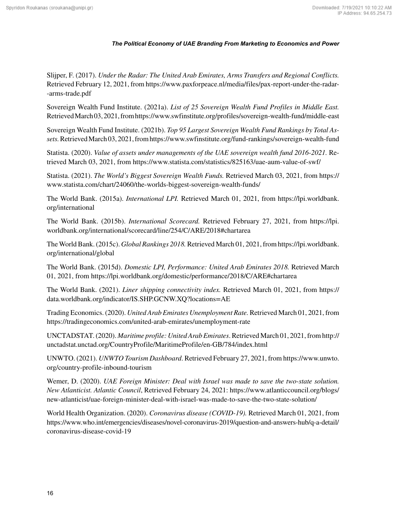Slijper, F. (2017). *Under the Radar: The United Arab Emirates, Arms Transfers and Regional Conflicts.* Retrieved February 12, 2021, from [https://www.paxforpeace.nl/media/files/pax-report-under-the-radar-](https://www.paxforpeace.nl/media/files/pax-report-under-the-radar--arms-trade.pdf) [-arms-trade.pdf](https://www.paxforpeace.nl/media/files/pax-report-under-the-radar--arms-trade.pdf)

Sovereign Wealth Fund Institute. (2021a). *List of 25 Sovereign Wealth Fund Profiles in Middle East.* Retrieved March 03, 2021, from<https://www.swfinstitute.org/profiles/sovereign-wealth-fund/middle-east>

Sovereign Wealth Fund Institute. (2021b). *Top 95 Largest Sovereign Wealth Fund Rankings by Total Assets.* Retrieved March 03, 2021, from<https://www.swfinstitute.org/fund-rankings/sovereign-wealth-fund>

Statista. (2020). *Value of assets under managements of the UAE sovereign wealth fund 2016-2021.* Retrieved March 03, 2021, from<https://www.statista.com/statistics/825163/uae-aum-value-of-swf/>

Statista. (2021). *The World's Biggest Sovereign Wealth Funds.* Retrieved March 03, 2021, from [https://](https://www.statista.com/chart/24060/the-worlds-biggest-sovereign-wealth-funds/) [www.statista.com/chart/24060/the-worlds-biggest-sovereign-wealth-funds/](https://www.statista.com/chart/24060/the-worlds-biggest-sovereign-wealth-funds/)

The World Bank. (2015a). *International LPI.* Retrieved March 01, 2021, from [https://lpi.worldbank.](https://lpi.worldbank.org/international) [org/international](https://lpi.worldbank.org/international)

The World Bank. (2015b). *International Scorecard.* Retrieved February 27, 2021, from [https://lpi.](https://lpi.worldbank.org/international/scorecard/line/254/C/ARE/2018#chartarea) [worldbank.org/international/scorecard/line/254/C/ARE/2018#chartarea](https://lpi.worldbank.org/international/scorecard/line/254/C/ARE/2018#chartarea)

The World Bank. (2015c). *Global Rankings 2018.* Retrieved March 01, 2021, from [https://lpi.worldbank.](https://lpi.worldbank.org/international/global) [org/international/global](https://lpi.worldbank.org/international/global)

The World Bank. (2015d). *Domestic LPI, Performance: United Arab Emirates 2018.* Retrieved March 01, 2021, from<https://lpi.worldbank.org/domestic/performance/2018/C/ARE#chartarea>

The World Bank. (2021). *Liner shipping connectivity index.* Retrieved March 01, 2021, from [https://](https://data.worldbank.org/indicator/IS.SHP.GCNW.XQ?locations=AE) [data.worldbank.org/indicator/IS.SHP.GCNW.XQ?locations=AE](https://data.worldbank.org/indicator/IS.SHP.GCNW.XQ?locations=AE)

Trading Economics. (2020). *United Arab Emirates Unemployment Rate.* Retrieved March 01, 2021, from <https://tradingeconomics.com/united-arab-emirates/unemployment-rate>

UNCTADSTAT. (2020). *Maritime profile: United Arab Emirates*. Retrieved March 01, 2021, from [http://](http://unctadstat.unctad.org/CountryProfile/MaritimeProfile/en-GB/784/index.html) [unctadstat.unctad.org/CountryProfile/MaritimeProfile/en-GB/784/index.html](http://unctadstat.unctad.org/CountryProfile/MaritimeProfile/en-GB/784/index.html)

UNWTO. (2021). *UNWTO Tourism Dashboard*. Retrieved February 27, 2021, from [https://www.unwto.](https://www.unwto.org/country-profile-inbound-tourism) [org/country-profile-inbound-tourism](https://www.unwto.org/country-profile-inbound-tourism)

Wemer, D. (2020). *UAE Foreign Minister: Deal with Israel was made to save the two-state solution. New Atlanticist. Atlantic Council*, Retrieved February 24, 2021: [https://www.atlanticcouncil.org/blogs/](https://www.atlanticcouncil.org/blogs/new-atlanticist/uae-foreign-minister-deal-with-israel-was-made-to-save-the-two-state-solution/) [new-atlanticist/uae-foreign-minister-deal-with-israel-was-made-to-save-the-two-state-solution/](https://www.atlanticcouncil.org/blogs/new-atlanticist/uae-foreign-minister-deal-with-israel-was-made-to-save-the-two-state-solution/)

World Health Organization. (2020). *Coronavirus disease (COVID-19).* Retrieved March 01, 2021, from [https://www.who.int/emergencies/diseases/novel-coronavirus-2019/question-and-answers-hub/q-a-detail/](https://www.who.int/emergencies/diseases/novel-coronavirus-2019/question-and-answers-hub/q-a-detail/coronavirus-disease-covid-19) [coronavirus-disease-covid-19](https://www.who.int/emergencies/diseases/novel-coronavirus-2019/question-and-answers-hub/q-a-detail/coronavirus-disease-covid-19)